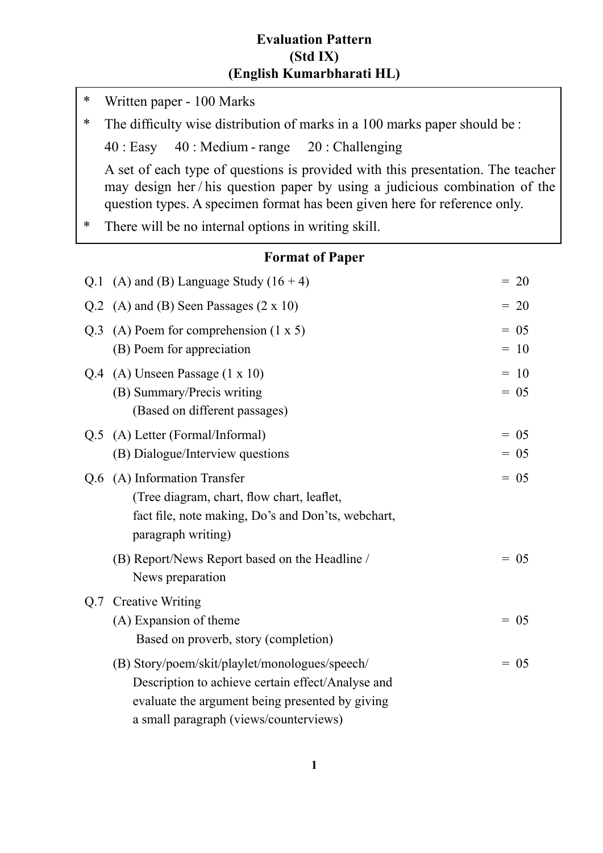### **Evaluation Pattern (Std IX) (English Kumarbharati HL)**

**Format of Paper** Q.1 (A) and (B) Language Study  $(16 + 4)$  = 20 Q.2 (A) and (B) Seen Passages  $(2 \times 10)$  = 20 Q.3 (A) Poem for comprehension  $(1 \times 5)$  = 05 (B) Poem for appreciation  $= 10$  $Q.4$  (A) Unseen Passage (1 x 10)  $= 10$ (B) Summary/Precis writing  $= 05$  (Based on different passages)  $Q.5$  (A) Letter (Formal/Informal)  $= 05$ (B) Dialogue/Interview questions  $= 05$  $Q.6$  (A) Information Transfer  $= 05$ (Tree diagram, chart, flow chart, leaflet, fact file, note making, Do's and Don'ts, webchart, paragraph writing) (B) Report/News Report based on the Headline  $/ = 05$  News preparation Q.7 Creative Writing  $(A)$  Expansion of theme  $= 05$  Based on proverb, story (completion) (B) Story/poem/skit/playlet/monologues/speech/  $= 05$  Description to achieve certain effect/Analyse and evaluate the argument being presented by giving a small paragraph (views/counterviews) \* Written paper - 100 Marks \* The difficulty wise distribution of marks in a 100 marks paper should be : 40 : Easy 40 : Medium - range 20 : Challenging A set of each type of questions is provided with this presentation. The teacher may design her / his question paper by using a judicious combination of the question types. A specimen format has been given here for reference only. \* There will be no internal options in writing skill.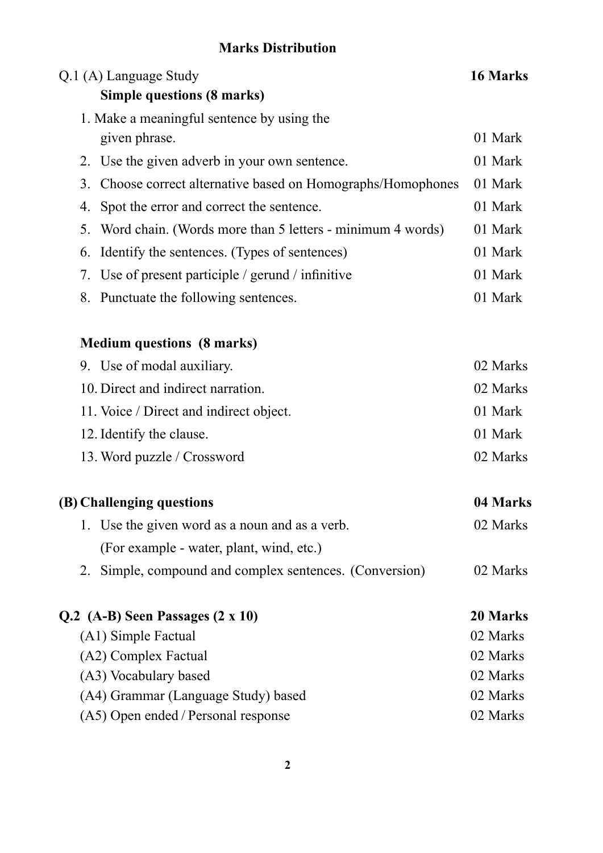## **Marks Distribution**

| Q.1 (A) Language Study                                          | 16 Marks |
|-----------------------------------------------------------------|----------|
| <b>Simple questions (8 marks)</b>                               |          |
| 1. Make a meaningful sentence by using the                      |          |
| given phrase.                                                   | 01 Mark  |
| Use the given adverb in your own sentence.<br>2.                | 01 Mark  |
| 3.<br>Choose correct alternative based on Homographs/Homophones | 01 Mark  |
| Spot the error and correct the sentence.<br>4.                  | 01 Mark  |
| 5.<br>Word chain. (Words more than 5 letters - minimum 4 words) | 01 Mark  |
| Identify the sentences. (Types of sentences)<br>6.              | 01 Mark  |
| 7. Use of present participle / gerund / infinitive              | 01 Mark  |
| 8. Punctuate the following sentences.                           | 01 Mark  |
| <b>Medium questions (8 marks)</b>                               |          |
| 9. Use of modal auxiliary.                                      | 02 Marks |
| 10. Direct and indirect narration.                              | 02 Marks |
| 11. Voice / Direct and indirect object.                         | 01 Mark  |
| 12. Identify the clause.                                        | 01 Mark  |
| 13. Word puzzle / Crossword                                     | 02 Marks |
| (B) Challenging questions                                       | 04 Marks |
| 1. Use the given word as a noun and as a verb.                  | 02 Marks |
| (For example - water, plant, wind, etc.)                        |          |
| 2. Simple, compound and complex sentences. (Conversion)         | 02 Marks |
| $Q.2$ (A-B) Seen Passages $(2 \times 10)$                       | 20 Marks |
| (A1) Simple Factual                                             | 02 Marks |
| (A2) Complex Factual                                            | 02 Marks |
| (A3) Vocabulary based                                           | 02 Marks |
| (A4) Grammar (Language Study) based                             | 02 Marks |
| (A5) Open ended / Personal response                             | 02 Marks |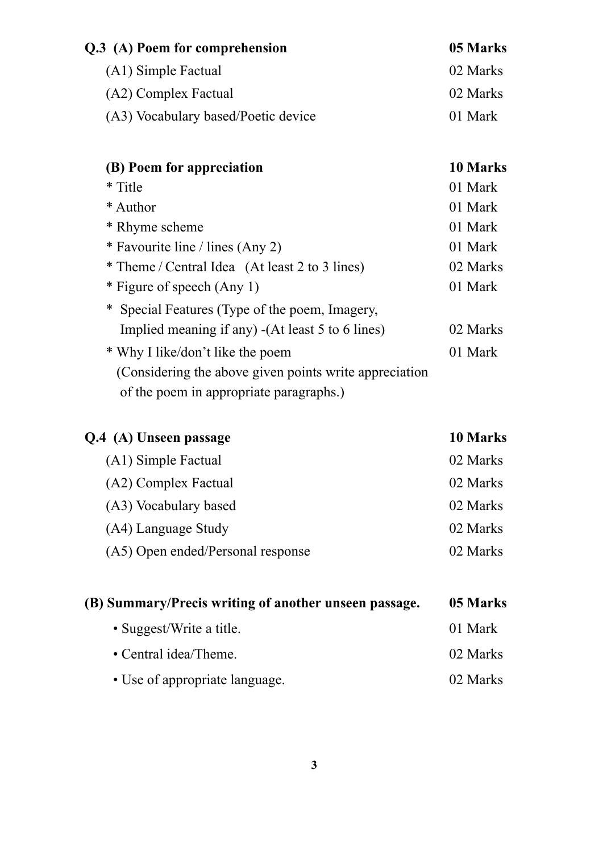| Q.3 (A) Poem for comprehension      | 05 Marks |
|-------------------------------------|----------|
| (A1) Simple Factual                 | 02 Marks |
| (A2) Complex Factual                | 02 Marks |
| (A3) Vocabulary based/Poetic device | 01 Mark  |

| (B) Poem for appreciation                               | 10 Marks |
|---------------------------------------------------------|----------|
| * Title                                                 | 01 Mark  |
| * Author                                                | 01 Mark  |
| * Rhyme scheme                                          | 01 Mark  |
| * Favourite line / lines (Any 2)                        | 01 Mark  |
| * Theme / Central Idea (At least 2 to 3 lines)          | 02 Marks |
| * Figure of speech (Any 1)                              | 01 Mark  |
| * Special Features (Type of the poem, Imagery,          |          |
| Implied meaning if any) - (At least 5 to 6 lines)       | 02 Marks |
| * Why I like/don't like the poem                        | 01 Mark  |
| (Considering the above given points write appreciation) |          |
| of the poem in appropriate paragraphs.)                 |          |

| Q.4 (A) Unseen passage            | 10 Marks |
|-----------------------------------|----------|
| (A1) Simple Factual               | 02 Marks |
| (A2) Complex Factual              | 02 Marks |
| (A3) Vocabulary based             | 02 Marks |
| (A4) Language Study               | 02 Marks |
| (A5) Open ended/Personal response | 02 Marks |
|                                   |          |

| (B) Summary/Precis writing of another unseen passage. | 05 Marks |
|-------------------------------------------------------|----------|
| • Suggest/Write a title.                              | 01 Mark  |
| • Central idea/Theme.                                 | 02 Marks |
| • Use of appropriate language.                        | 02 Marks |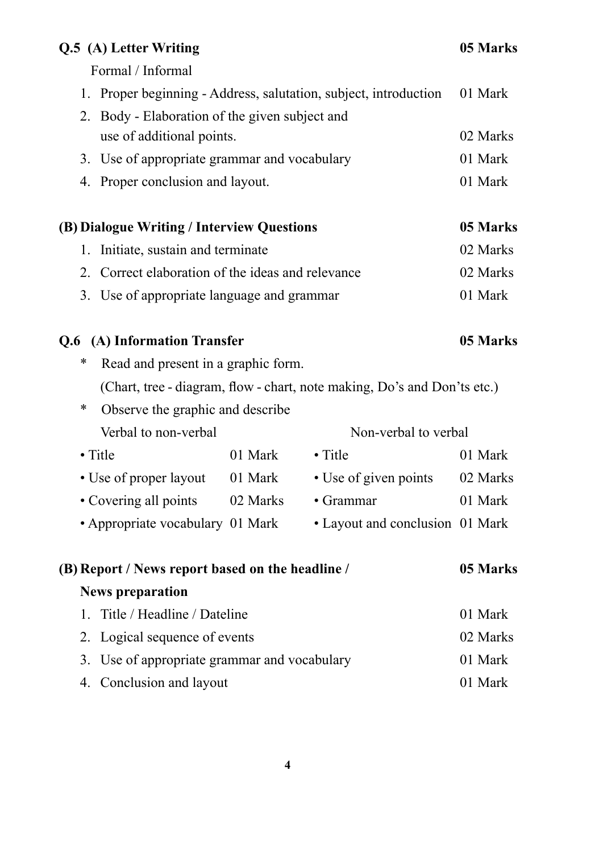### **Q.5** (A) Letter Writing 05 Marks

Formal / Informal

| 1. Proper beginning - Address, salutation, subject, introduction 01 Mark |          |
|--------------------------------------------------------------------------|----------|
| 2. Body - Elaboration of the given subject and                           |          |
| use of additional points.                                                | 02 Marks |
| 3. Use of appropriate grammar and vocabulary                             | 01 Mark  |
| 4. Proper conclusion and layout.                                         | 01 Mark  |

| (B) Dialogue Writing / Interview Questions        | 05 Marks |
|---------------------------------------------------|----------|
| 1. Initiate, sustain and terminate                | 02 Marks |
| 2. Correct elaboration of the ideas and relevance | 02 Marks |
| 3. Use of appropriate language and grammar        | 01 Mark  |

### **Q.6 (A) Information Transfer 05 Marks**

- \* Read and present in a graphic form. (Chart, tree - diagram, flow - chart, note making, Do's and Don'ts etc.)
- \* Observe the graphic and describe Verbal to non-verbal Non-verbal to verbal
- Title 01 Mark Title 01 Mark • Use of proper layout 01 Mark • Use of given points 02 Marks • Covering all points 02 Marks • Grammar 01 Mark
- Appropriate vocabulary 01 Mark Layout and conclusion 01 Mark

| (B) Report / News report based on the headline / | 05 Marks |
|--------------------------------------------------|----------|
| <b>News preparation</b>                          |          |
| 1. Title / Headline / Dateline                   | 01 Mark  |
| 2. Logical sequence of events                    | 02 Marks |
| 3. Use of appropriate grammar and vocabulary     | 01 Mark  |
| 4. Conclusion and layout                         | 01 Mark  |